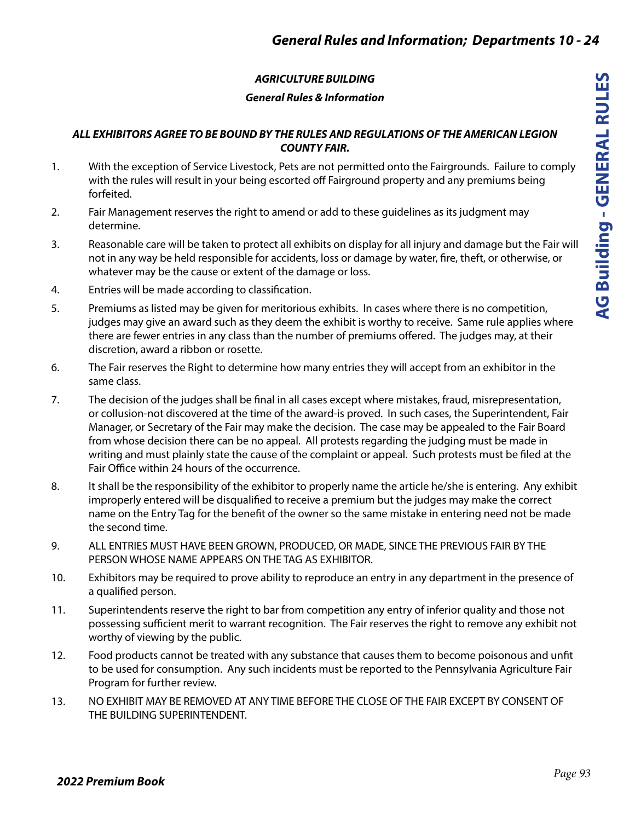## *AGRICULTURE BUILDING*

## *General Rules & Information*

### *ALL EXHIBITORS AGREE TO BE BOUND BY THE RULES AND REGULATIONS OF THE AMERICAN LEGION COUNTY FAIR.*

- 1. With the exception of Service Livestock, Pets are not permitted onto the Fairgrounds. Failure to comply with the rules will result in your being escorted off Fairground property and any premiums being forfeited.
- 2. Fair Management reserves the right to amend or add to these guidelines as its judgment may determine.
- 3. Reasonable care will be taken to protect all exhibits on display for all injury and damage but the Fair will not in any way be held responsible for accidents, loss or damage by water, fire, theft, or otherwise, or whatever may be the cause or extent of the damage or loss.
- 4. Entries will be made according to classification.
- 5. Premiums as listed may be given for meritorious exhibits. In cases where there is no competition, judges may give an award such as they deem the exhibit is worthy to receive. Same rule applies where there are fewer entries in any class than the number of premiums offered. The judges may, at their discretion, award a ribbon or rosette.
- 6. The Fair reserves the Right to determine how many entries they will accept from an exhibitor in the same class.
- 7. The decision of the judges shall be final in all cases except where mistakes, fraud, misrepresentation, or collusion-not discovered at the time of the award-is proved. In such cases, the Superintendent, Fair Manager, or Secretary of the Fair may make the decision. The case may be appealed to the Fair Board from whose decision there can be no appeal. All protests regarding the judging must be made in writing and must plainly state the cause of the complaint or appeal. Such protests must be filed at the Fair Office within 24 hours of the occurrence.
- 8. It shall be the responsibility of the exhibitor to properly name the article he/she is entering. Any exhibit improperly entered will be disqualified to receive a premium but the judges may make the correct name on the Entry Tag for the benefit of the owner so the same mistake in entering need not be made the second time.
- 9. ALL ENTRIES MUST HAVE BEEN GROWN, PRODUCED, OR MADE, SINCE THE PREVIOUS FAIR BY THE PERSON WHOSE NAME APPEARS ON THE TAG AS EXHIBITOR.
- 10. Exhibitors may be required to prove ability to reproduce an entry in any department in the presence of a qualified person.
- 11. Superintendents reserve the right to bar from competition any entry of inferior quality and those not possessing sufficient merit to warrant recognition. The Fair reserves the right to remove any exhibit not worthy of viewing by the public.
- 12. Food products cannot be treated with any substance that causes them to become poisonous and unfit to be used for consumption. Any such incidents must be reported to the Pennsylvania Agriculture Fair Program for further review.
- 13. NO EXHIBIT MAY BE REMOVED AT ANY TIME BEFORE THE CLOSE OF THE FAIR EXCEPT BY CONSENT OF THE BUILDING SUPERINTENDENT.